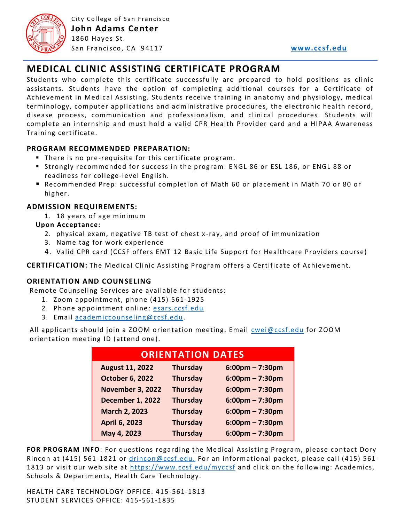

City College of San Francisco **John Adams Center** 1860 Hayes St. San Francisco , CA 94117 **[www.ccsf.edu](http://www.ccsf.edu/)**

# **MEDICAL CLINIC ASSISTING CERTIFICATE PROGRAM**

Students who complete this certificate successfully are prepared to hold positions as clinic assistants. Students have the option of completing additional courses for a Certificate of Achievement in Medical Assisting. Students receive training in anatomy and physiology, medical terminology, computer applications and administrative procedures, the electronic health record, disease process, communication and professionalism, and clinical procedures. Students will complete an internship and must hold a valid CPR Health Provider card and a HIPAA Awareness Training certificate.

## **PROGRAM RECOMMENDED PREPARATION:**

- There is no pre-requisite for this certificate program.
- Strongly recommended for success in the program: ENGL 86 or ESL 186, or ENGL 88 or readiness for college-level English.
- Recommended Prep: successful completion of Math 60 or placement in Math 70 or 80 or higher.

## **ADMISSION REQUIREMENTS:**

1. 18 years of age minimum

#### **Upon Acceptance:**

- 2. physical exam, negative TB test of chest x -ray, and proof of immunization
- 3. Name tag for work experience
- 4. Valid CPR card (CCSF offers EMT 12 Basic Life Support for Healthcare Providers course)

**CERTIFICATION:** The Medical Clinic Assisting Program offers a Certificate of Achievement.

#### **ORIENTATION AND COUNSELING**

Remote Counseling Services are available for students:

- 1. Zoom appointment, phone (415) 561-1925
- 2. Phone appointment online: [esars.ccsf.edu](https://esars.ccsf.edu/)
- 3. Email [academiccounseling@ccsf.edu.](mailto:academiccounseling@ccsf.edu)

All applicants should join a ZOOM orientation meeting. Email [cwei@ccsf.edu](mailto:cwei@ccsf.edu) for ZOOM orientation meeting ID (attend one).

| <b>ORIENTATION DATES</b> |                 |                                   |
|--------------------------|-----------------|-----------------------------------|
| <b>August 11, 2022</b>   | <b>Thursday</b> | $6:00 \text{pm} - 7:30 \text{pm}$ |
| <b>October 6, 2022</b>   | <b>Thursday</b> | $6:00 \text{pm} - 7:30 \text{pm}$ |
| <b>November 3, 2022</b>  | <b>Thursday</b> | $6:00 \text{pm} - 7:30 \text{pm}$ |
| <b>December 1, 2022</b>  | <b>Thursday</b> | $6:00 \text{pm} - 7:30 \text{pm}$ |
| <b>March 2, 2023</b>     | <b>Thursday</b> | $6:00 \text{pm} - 7:30 \text{pm}$ |
| April 6, 2023            | <b>Thursday</b> | $6:00$ pm – 7:30pm                |
| May 4, 2023              | <b>Thursday</b> | $6:00 \text{pm} - 7:30 \text{pm}$ |

**FOR PROGRAM INFO**: For questions regarding the Medical Assisting Program, please contact Dory Rincon at (415) 561-1821 or [drincon@ccsf.edu.](mailto:drincon@ccsf.edu) For an informational packet, please call (415) 5611813 or visit our web site at<https://www.ccsf.edu/myccsf> and click on the following: Academics, Schools & Departments, Health Care Technology.

HEALTH CARE TECHNOLOGY OFFICE: 415 -561-1813 STUDENT SERVICES OFFICE: 415-561-1835